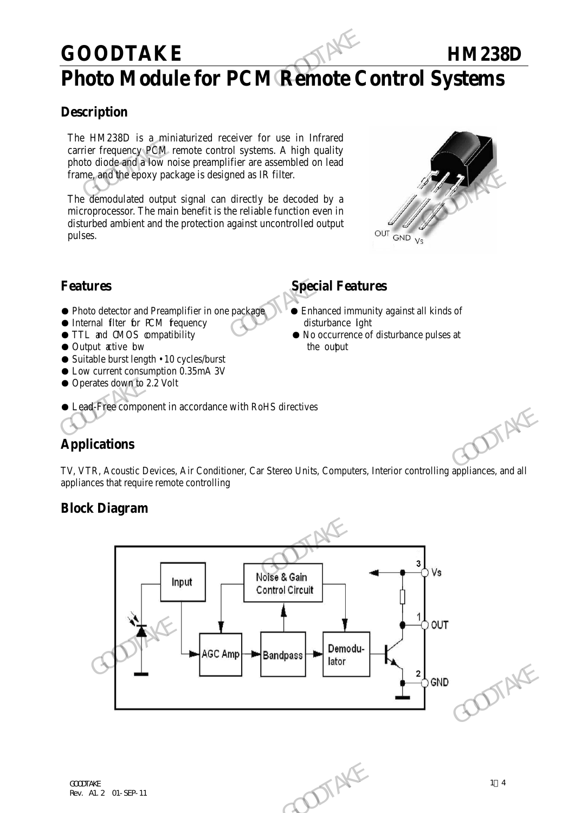## **GOODTAKE HM238D**

# **Photo Module for PCM Remote Control Systems**

## **Description**

The HM238D is a miniaturized receiver for use in Infrared carrier frequency PCM remote control systems. A high quality photo diode and a low noise preamplifier are assembled on lead frame, and the epoxy package is designed as IR filter.

The demodulated output signal can directly be decoded by a microprocessor. The main benefit is the reliable function even in disturbed ambient and the protection against uncontrolled output pulses. GOODTAKE<br>
Photo Module for PCM Remote C<br>
Description<br>
The HM238D is a miniaturized creciver for use in Infrared<br>
carrier frequency PCM remote control systems. A high quality<br>
photo diode and he convergently remote controll Frame, and the epoxy package is designed as IR filter.<br>
The demodulated output signal can directly be decoded by a<br>
microprocessor. The main benefit is the reliable function even in<br>
disturbed ambient and the protection a



● Photo detector and Preamplifier in one package **Detailled** Enhanced immunity against all kinds of

● Lead-Free component in accordance with RoHS directives

- Internal filter for PCM frequency disturbance light
- 
- Output active bw the output the output
- Suitable burst length 10 cycles/burst
- Low current consumption 0.35mA 3V
- Operates down to 2.2 Volt

## **Features Special Features**

- 
- TTL and CMOS compatibility No occurrence of disturbance pulses at

## **Applications**

TV, VTR, Acoustic Devices, Air Conditioner, Car Stereo Units, Computers, Interior controlling appliances, and all appliances that require remote controlling

### **Block Diagram**

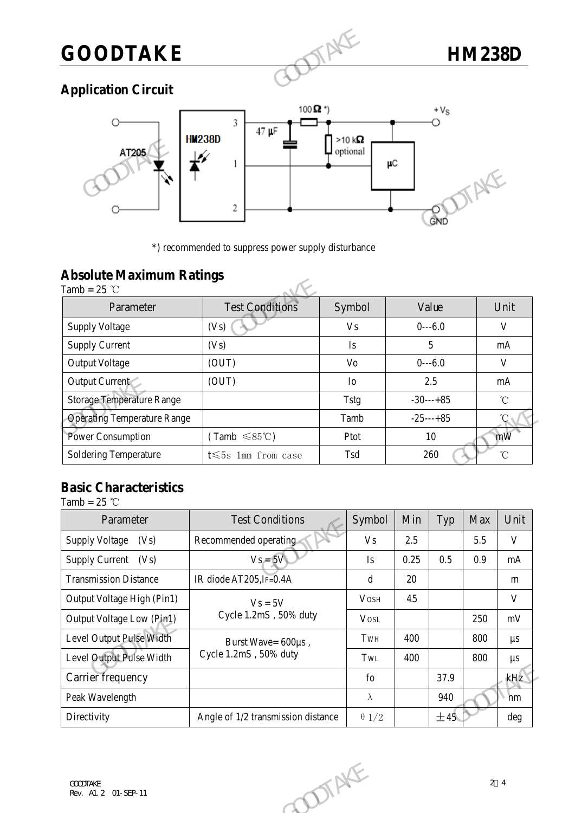

## **Application Circuit**



## **Absolute Maximum Ratings**

|                                                   | $\mathbf{2}$<br>*) recommended to suppress power supply disturbance |                | GND         |
|---------------------------------------------------|---------------------------------------------------------------------|----------------|-------------|
| <b>Absolute Maximum Ratings</b><br>Tamb = $25$ °C |                                                                     |                |             |
| Parameter                                         | <b>Test Conditions</b>                                              | Symbol         | Value       |
| <b>Supply Voltage</b>                             | (Vs)                                                                | V <sub>s</sub> | $0--6.0$    |
| <b>Supply Current</b>                             | (Vs)                                                                | Is             | 5           |
| <b>Output Voltage</b>                             | (OUT)                                                               | V <sub>o</sub> | $0--6.0$    |
| Output Current                                    | (OUT)                                                               | Io             | 2.5         |
| <b>Storage Temperature Range</b>                  |                                                                     | <b>Tstg</b>    | $-30---+85$ |
| <b>Operating Temperature Range</b>                |                                                                     | Tamb           | $-25---+85$ |
| Power Consumption                                 | $(Tamb \leq 85^{\circ}C)$                                           | Ptot           | 10          |
| <b>Soldering Temperature</b>                      | t $\leqslant$ 5s 1mm from case                                      | Tsd            | 260         |

## **Basic Characteristics**

| <b>Operating Temperature Range</b>      |                                    | $-25---+85$<br>Tamb |        |      | °C                       |              |  |
|-----------------------------------------|------------------------------------|---------------------|--------|------|--------------------------|--------------|--|
| Power Consumption                       | $(Tamb \leq 85^{\circ}C)$          | Ptot                | $10\,$ |      |                          | mW           |  |
| Soldering Temperature                   | $t \leq 5s$ 1mm from case          | Tsd                 |        |      | $^\circ\!{\rm C}$<br>260 |              |  |
|                                         |                                    |                     |        |      |                          |              |  |
| <b>Basic Characteristics</b>            |                                    |                     |        |      |                          |              |  |
| Tamb = $25$ °C                          | <b>Test Conditions</b>             | Symbol              | Min    |      |                          |              |  |
| Parameter                               |                                    |                     |        | Typ  | Max                      | Unit         |  |
| <b>Supply Voltage</b><br>(Vs)           | Recommended operating              | <b>Vs</b>           | 2.5    |      | 5.5                      | $\mathbf{V}$ |  |
| Supply Current (Vs)                     | $Vs = 5V$                          | Is                  | 0.25   | 0.5  | 0.9                      | mA           |  |
| <b>Transmission Distance</b>            | IR diode AT205, IF=0.4A            | $\mathbf d$         | 20     |      |                          | m            |  |
| Output Voltage High (Pin1)              | $Vs = 5V$                          | <b>VOSH</b>         | 45     |      |                          | $\mathbf{V}$ |  |
| Output Voltage Low (Pin1)               | Cycle 1.2mS, 50% duty              | <b>VOSL</b>         |        |      | 250                      | mV           |  |
| Level Output Pulse Width                | Burst Wave= 600µs,                 | TwH                 | 400    |      | 800                      | $\mu s$      |  |
| Level Output Pulse Width                | Cycle 1.2mS, 50% duty              | TwL                 | 400    |      | 800                      | $\mu s$      |  |
| Carrier frequency                       |                                    | fo                  |        | 37.9 |                          | kHz          |  |
| Peak Wavelength                         |                                    | $\lambda$           |        | 940  |                          | nm           |  |
| Directivity                             | Angle of 1/2 transmission distance | $\theta$ 1/2        |        | ±45  |                          | deg          |  |
|                                         |                                    |                     |        |      |                          |              |  |
|                                         |                                    |                     |        |      |                          |              |  |
|                                         |                                    |                     |        |      |                          |              |  |
| <b>GOODTAKE</b><br>Rev. Al. 2 01-SEP-11 |                                    |                     |        |      |                          | 24           |  |
|                                         | DIENE                              |                     |        |      |                          |              |  |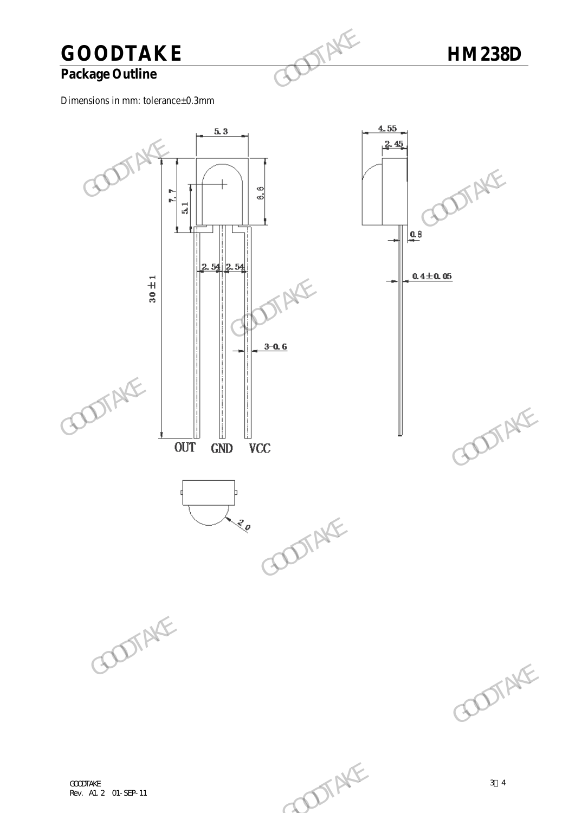# **GOODTAKE HM238D**<br>Package Outline

## **Package Outline**

Dimensions in mm: tolerance±0.3mm